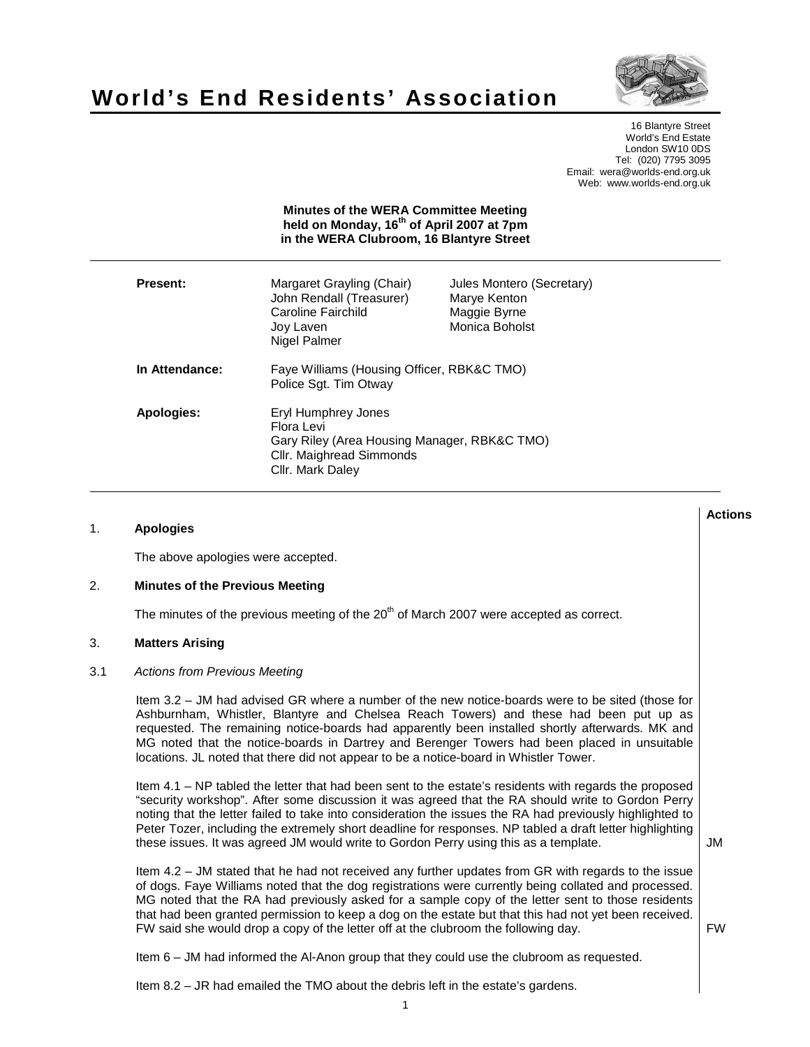



16 Blantyre Street World's End Estate London SW10 0DS Tel: (020) 7795 3095 Email: wera@worlds-end.org.uk Web: www.worlds-end.org.uk

|                 | <b>MINUTES</b> OF THE MERRY COMMITTED MEETING<br>held on Monday, 16 <sup>th</sup> of April 2007 at 7pm<br>in the WERA Clubroom, 16 Blantyre Street |                                                                             |
|-----------------|----------------------------------------------------------------------------------------------------------------------------------------------------|-----------------------------------------------------------------------------|
| <b>Present:</b> | Margaret Grayling (Chair)<br>John Rendall (Treasurer)<br>Caroline Fairchild<br>Joy Laven<br>Nigel Palmer                                           | Jules Montero (Secretary)<br>Marye Kenton<br>Maggie Byrne<br>Monica Boholst |
| In Attendance:  | Faye Williams (Housing Officer, RBK&C TMO)<br>Police Sqt. Tim Otway                                                                                |                                                                             |
| Apologies:      | Eryl Humphrey Jones<br>Flora Levi<br>Gary Riley (Area Housing Manager, RBK&C TMO)<br>Cllr. Maighread Simmonds<br>Cllr. Mark Daley                  |                                                                             |

**Minutes of the WERA Committee Meeting** 

# 1. **Apologies**

The above apologies were accepted.

# 2. **Minutes of the Previous Meeting**

The minutes of the previous meeting of the  $20<sup>th</sup>$  of March 2007 were accepted as correct.

# 3. **Matters Arising**

## 3.1 Actions from Previous Meeting

Item 3.2 – JM had advised GR where a number of the new notice-boards were to be sited (those for Ashburnham, Whistler, Blantyre and Chelsea Reach Towers) and these had been put up as requested. The remaining notice-boards had apparently been installed shortly afterwards. MK and MG noted that the notice-boards in Dartrey and Berenger Towers had been placed in unsuitable locations. JL noted that there did not appear to be a notice-board in Whistler Tower.

Item 4.1 – NP tabled the letter that had been sent to the estate's residents with regards the proposed "security workshop". After some discussion it was agreed that the RA should write to Gordon Perry noting that the letter failed to take into consideration the issues the RA had previously highlighted to Peter Tozer, including the extremely short deadline for responses. NP tabled a draft letter highlighting these issues. It was agreed JM would write to Gordon Perry using this as a template.

Item 4.2 – JM stated that he had not received any further updates from GR with regards to the issue of dogs. Faye Williams noted that the dog registrations were currently being collated and processed. MG noted that the RA had previously asked for a sample copy of the letter sent to those residents that had been granted permission to keep a dog on the estate but that this had not yet been received. FW said she would drop a copy of the letter off at the clubroom the following day.

FW

JM

**Actions** 

Item 6 – JM had informed the Al-Anon group that they could use the clubroom as requested.

Item 8.2 – JR had emailed the TMO about the debris left in the estate's gardens.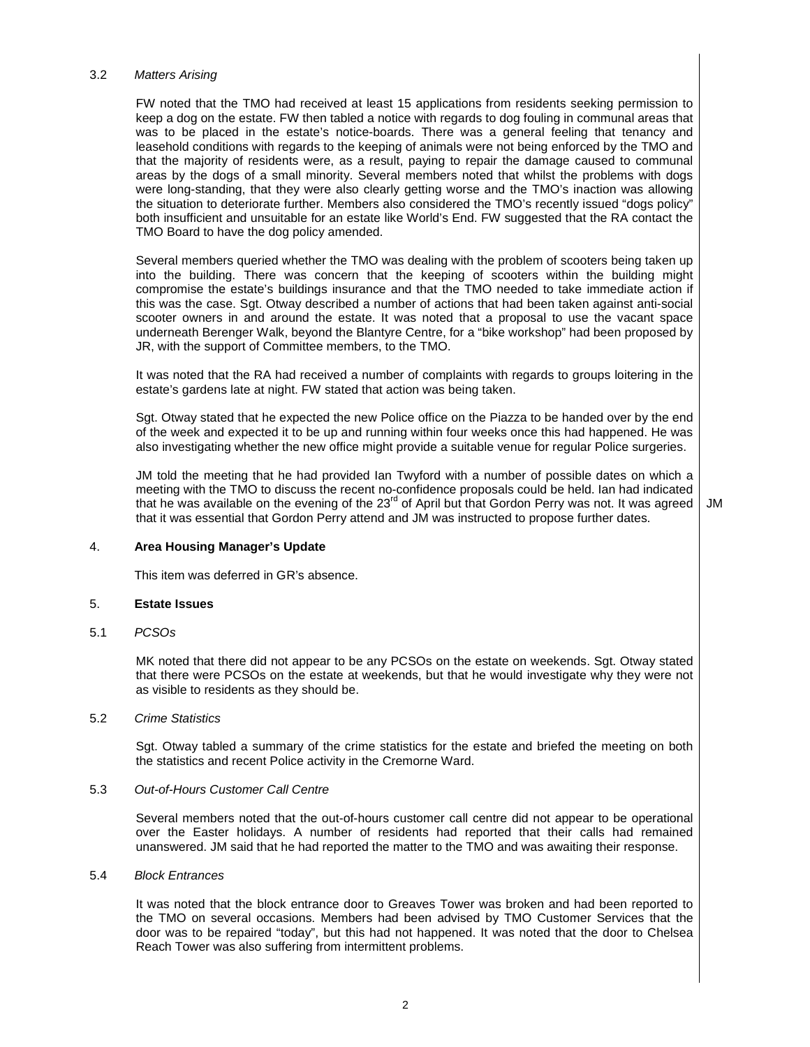### 3.2 Matters Arising

FW noted that the TMO had received at least 15 applications from residents seeking permission to keep a dog on the estate. FW then tabled a notice with regards to dog fouling in communal areas that was to be placed in the estate's notice-boards. There was a general feeling that tenancy and leasehold conditions with regards to the keeping of animals were not being enforced by the TMO and that the majority of residents were, as a result, paying to repair the damage caused to communal areas by the dogs of a small minority. Several members noted that whilst the problems with dogs were long-standing, that they were also clearly getting worse and the TMO's inaction was allowing the situation to deteriorate further. Members also considered the TMO's recently issued "dogs policy" both insufficient and unsuitable for an estate like World's End. FW suggested that the RA contact the TMO Board to have the dog policy amended.

Several members queried whether the TMO was dealing with the problem of scooters being taken up into the building. There was concern that the keeping of scooters within the building might compromise the estate's buildings insurance and that the TMO needed to take immediate action if this was the case. Sgt. Otway described a number of actions that had been taken against anti-social scooter owners in and around the estate. It was noted that a proposal to use the vacant space underneath Berenger Walk, beyond the Blantyre Centre, for a "bike workshop" had been proposed by JR, with the support of Committee members, to the TMO.

It was noted that the RA had received a number of complaints with regards to groups loitering in the estate's gardens late at night. FW stated that action was being taken.

Sgt. Otway stated that he expected the new Police office on the Piazza to be handed over by the end of the week and expected it to be up and running within four weeks once this had happened. He was also investigating whether the new office might provide a suitable venue for regular Police surgeries.

JM told the meeting that he had provided Ian Twyford with a number of possible dates on which a meeting with the TMO to discuss the recent no-confidence proposals could be held. Ian had indicated that he was available on the evening of the 23<sup>rd</sup> of April but that Gordon Perry was not. It was agreed that it was essential that Gordon Perry attend and JM was instructed to propose further dates.

JM

## 4. **Area Housing Manager's Update**

This item was deferred in GR's absence.

## 5. **Estate Issues**

## 5.1 PCSOs

MK noted that there did not appear to be any PCSOs on the estate on weekends. Sgt. Otway stated that there were PCSOs on the estate at weekends, but that he would investigate why they were not as visible to residents as they should be.

#### 5.2 Crime Statistics

Sgt. Otway tabled a summary of the crime statistics for the estate and briefed the meeting on both the statistics and recent Police activity in the Cremorne Ward.

#### 5.3 Out-of-Hours Customer Call Centre

Several members noted that the out-of-hours customer call centre did not appear to be operational over the Easter holidays. A number of residents had reported that their calls had remained unanswered. JM said that he had reported the matter to the TMO and was awaiting their response.

#### 5.4 Block Entrances

It was noted that the block entrance door to Greaves Tower was broken and had been reported to the TMO on several occasions. Members had been advised by TMO Customer Services that the door was to be repaired "today", but this had not happened. It was noted that the door to Chelsea Reach Tower was also suffering from intermittent problems.